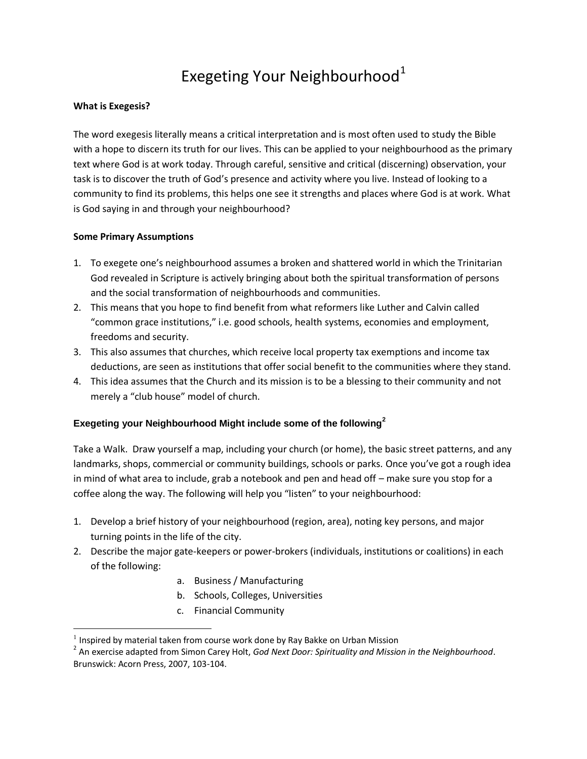## Exegeting Your Neighbourhood<sup>1</sup>

## **What is Exegesis?**

The word exegesis literally means a critical interpretation and is most often used to study the Bible with a hope to discern its truth for our lives. This can be applied to your neighbourhood as the primary text where God is at work today. Through careful, sensitive and critical (discerning) observation, your task is to discover the truth of God's presence and activity where you live. Instead of looking to a community to find its problems, this helps one see it strengths and places where God is at work. What is God saying in and through your neighbourhood?

## **Some Primary Assumptions**

 $\overline{a}$ 

- 1. To exegete one's neighbourhood assumes a broken and shattered world in which the Trinitarian God revealed in Scripture is actively bringing about both the spiritual transformation of persons and the social transformation of neighbourhoods and communities.
- 2. This means that you hope to find benefit from what reformers like Luther and Calvin called "common grace institutions," i.e. good schools, health systems, economies and employment, freedoms and security.
- 3. This also assumes that churches, which receive local property tax exemptions and income tax deductions, are seen as institutions that offer social benefit to the communities where they stand.
- 4. This idea assumes that the Church and its mission is to be a blessing to their community and not merely a "club house" model of church.

## **Exegeting your Neighbourhood Might include some of the following<sup>2</sup>**

Take a Walk. Draw yourself a map, including your church (or home), the basic street patterns, and any landmarks, shops, commercial or community buildings, schools or parks. Once you've got a rough idea in mind of what area to include, grab a notebook and pen and head off – make sure you stop for a coffee along the way. The following will help you "listen" to your neighbourhood:

- 1. Develop a brief history of your neighbourhood (region, area), noting key persons, and major turning points in the life of the city.
- 2. Describe the major gate-keepers or power-brokers (individuals, institutions or coalitions) in each of the following:
	- a. Business / Manufacturing
	- b. Schools, Colleges, Universities
	- c. Financial Community

 $<sup>1</sup>$  Inspired by material taken from course work done by Ray Bakke on Urban Mission</sup>

<sup>2</sup> An exercise adapted from Simon Carey Holt, *God Next Door: Spirituality and Mission in the Neighbourhood*. Brunswick: Acorn Press, 2007, 103-104.